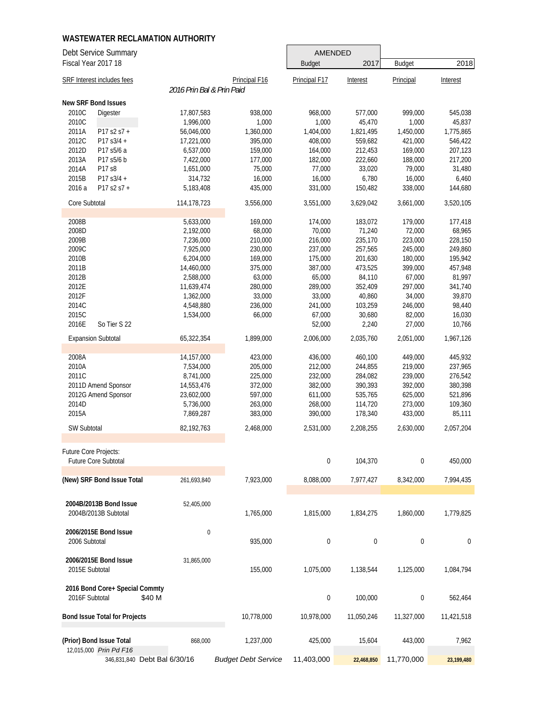| Debt Service Summary                 |                           |                            | <b>AMENDED</b> |             |               |            |
|--------------------------------------|---------------------------|----------------------------|----------------|-------------|---------------|------------|
| Fiscal Year 2017 18                  |                           |                            | <b>Budget</b>  | 2017        | <b>Budget</b> | 2018       |
| SRF Interest includes fees           |                           | Principal F16              | Principal F17  | Interest    | Principal     | Interest   |
|                                      | 2016 Prin Bal & Prin Paid |                            |                |             |               |            |
| <b>New SRF Bond Issues</b>           |                           |                            |                |             |               |            |
| 2010C<br>Digester                    | 17,807,583                | 938,000                    | 968,000        | 577,000     | 999,000       | 545,038    |
| 2010C                                | 1,996,000                 | 1,000                      | 1,000          | 45,470      | 1,000         | 45,837     |
| 2011A<br>$P17 S2 S7 +$               | 56,046,000                | 1,360,000                  | 1,404,000      | 1,821,495   | 1,450,000     | 1,775,865  |
| 2012C<br>P17 s3/4 +                  | 17,221,000                | 395,000                    | 408,000        | 559,682     | 421,000       | 546,422    |
| 2012D<br>P17 s5/6 a                  | 6,537,000                 | 159,000                    | 164,000        | 212,453     | 169,000       | 207,123    |
|                                      |                           |                            |                |             |               |            |
| 2013A<br>P17 s5/6 b                  | 7,422,000                 | 177,000                    | 182,000        | 222,660     | 188,000       | 217,200    |
| 2014A<br>P17 s8                      | 1,651,000                 | 75,000                     | 77,000         | 33,020      | 79,000        | 31,480     |
| 2015B<br>P17 s3/4 +                  | 314,732                   | 16,000                     | 16,000         | 6,780       | 16,000        | 6,460      |
| 2016 a<br>P17 s2 s7 +                | 5,183,408                 | 435,000                    | 331,000        | 150,482     | 338,000       | 144,680    |
| Core Subtotal                        | 114,178,723               | 3,556,000                  | 3,551,000      | 3,629,042   | 3,661,000     | 3,520,105  |
| 2008B                                | 5,633,000                 | 169,000                    | 174,000        | 183,072     | 179,000       | 177,418    |
| 2008D                                | 2,192,000                 | 68,000                     | 70,000         | 71,240      | 72,000        | 68,965     |
| 2009B                                | 7,236,000                 | 210,000                    | 216,000        | 235,170     | 223,000       | 228,150    |
| 2009C                                | 7,925,000                 | 230,000                    | 237,000        | 257,565     | 245,000       | 249,860    |
|                                      |                           |                            |                |             |               |            |
| 2010B                                | 6,204,000                 | 169,000                    | 175,000        | 201,630     | 180,000       | 195,942    |
| 2011B                                | 14,460,000                | 375,000                    | 387,000        | 473,525     | 399,000       | 457,948    |
| 2012B                                | 2,588,000                 | 63,000                     | 65,000         | 84,110      | 67,000        | 81,997     |
| 2012E                                | 11,639,474                | 280,000                    | 289,000        | 352,409     | 297,000       | 341,740    |
| 2012F                                | 1,362,000                 | 33,000                     | 33,000         | 40,860      | 34,000        | 39,870     |
| 2014C                                | 4,548,880                 | 236,000                    | 241,000        | 103,259     | 246,000       | 98,440     |
| 2015C                                | 1,534,000                 | 66,000                     | 67,000         | 30,680      | 82,000        | 16,030     |
| 2016E<br>So Tier S 22                |                           |                            | 52,000         | 2,240       | 27,000        | 10,766     |
| <b>Expansion Subtotal</b>            | 65,322,354                | 1,899,000                  | 2,006,000      | 2,035,760   | 2,051,000     | 1,967,126  |
| 2008A                                | 14,157,000                | 423,000                    | 436,000        | 460,100     | 449,000       | 445,932    |
| 2010A                                | 7,534,000                 | 205,000                    | 212,000        | 244,855     | 219,000       | 237,965    |
| 2011C                                |                           |                            |                |             |               |            |
|                                      | 8,741,000                 | 225,000                    | 232,000        | 284,082     | 239,000       | 276,542    |
| 2011D Amend Sponsor                  | 14,553,476                | 372,000                    | 382,000        | 390,393     | 392,000       | 380,398    |
| 2012G Amend Sponsor                  | 23,602,000                | 597,000                    | 611,000        | 535,765     | 625,000       | 521,896    |
| 2014D                                | 5,736,000                 | 263,000                    | 268,000        | 114,720     | 273,000       | 109,360    |
| 2015A                                | 7,869,287                 | 383,000                    | 390,000        | 178,340     | 433,000       | 85,111     |
| SW Subtotal                          | 82,192,763                | 2,468,000                  | 2,531,000      | 2,208,255   | 2,630,000     | 2,057,204  |
| Future Core Projects:                |                           |                            |                |             |               |            |
| Future Core Subtotal                 |                           |                            | $\mathbf 0$    | 104,370     | 0             | 450,000    |
|                                      |                           |                            |                |             |               |            |
| (New) SRF Bond Issue Total           | 261,693,840               | 7,923,000                  | 8,088,000      | 7,977,427   | 8,342,000     | 7,994,435  |
| 2004B/2013B Bond Issue               | 52,405,000                |                            |                |             |               |            |
|                                      |                           |                            |                |             |               |            |
| 2004B/2013B Subtotal                 |                           | 1,765,000                  | 1,815,000      | 1,834,275   | 1,860,000     | 1,779,825  |
| 2006/2015E Bond Issue                | $\pmb{0}$                 |                            |                |             |               |            |
| 2006 Subtotal                        |                           | 935,000                    | $\mathbf 0$    | $\mathbf 0$ | 0             | 0          |
|                                      |                           |                            |                |             |               |            |
| 2006/2015E Bond Issue                | 31,865,000                |                            |                |             |               |            |
| 2015E Subtotal                       |                           | 155,000                    | 1,075,000      | 1,138,544   | 1,125,000     | 1,084,794  |
| 2016 Bond Core+ Special Commty       |                           |                            |                |             |               |            |
| 2016F Subtotal<br>\$40 M             |                           |                            | $\pmb{0}$      | 100,000     | 0             | 562,464    |
| <b>Bond Issue Total for Projects</b> |                           | 10,778,000                 | 10,978,000     | 11,050,246  | 11,327,000    | 11,421,518 |
|                                      |                           |                            |                |             |               |            |
| (Prior) Bond Issue Total             | 868,000                   | 1,237,000                  | 425,000        | 15,604      | 443,000       | 7,962      |
| 12,015,000 Prin Pd F16               |                           |                            |                |             |               |            |
| 346,831,840 Debt Bal 6/30/16         |                           | <b>Budget Debt Service</b> | 11,403,000     | 22,468,850  | 11,770,000    | 23,199,480 |

٦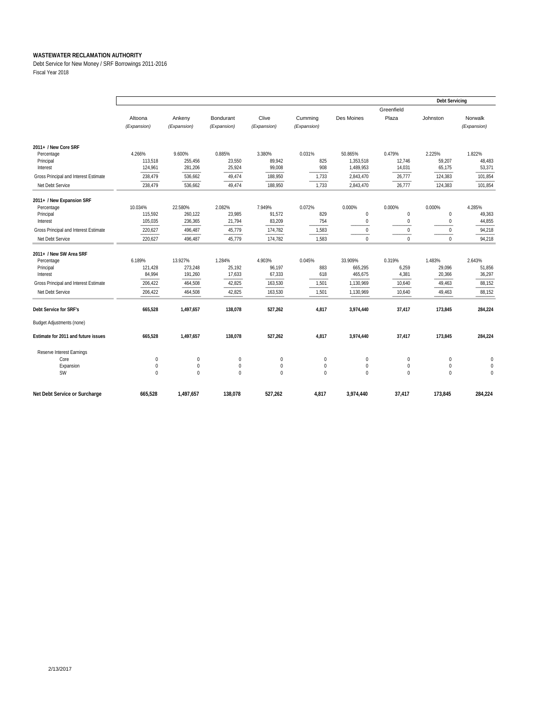Debt Service for New Money / SRF Borrowings 2011-2016 Fiscal Year 2018

|                                       |              |              |             |             |              |            |                  |              | <b>Debt Servicing</b> |  |  |
|---------------------------------------|--------------|--------------|-------------|-------------|--------------|------------|------------------|--------------|-----------------------|--|--|
|                                       |              |              |             |             |              |            | Greenfield       |              |                       |  |  |
|                                       | Altoona      | Ankeny       | Bondurant   | Clive       | Cumming      | Des Moines | Plaza            | Johnston     | Norwalk               |  |  |
|                                       | (Expansion)  | (Expansion)  | (Expansion) | (Expansion) | (Expansion)  |            |                  |              | (Expansion)           |  |  |
|                                       |              |              |             |             |              |            |                  |              |                       |  |  |
| 2011+ / New Core SRF                  |              |              |             |             |              |            |                  |              |                       |  |  |
| Percentage                            | 4.266%       | 9.600%       | 0.885%      | 3.380%      | 0.031%       | 50.865%    | 0.479%           | 2.225%       | 1.822%                |  |  |
| Principal                             | 113,518      | 255,456      | 23,550      | 89.942      | 825          | 1.353.518  | 12,746           | 59,207       | 48.483                |  |  |
| Interest                              | 124,961      | 281,206      | 25,924      | 99,008      | 908          | 1,489,953  | 14,031           | 65,175       | 53,371                |  |  |
| Gross Principal and Interest Estimate | 238,479      | 536,662      | 49,474      | 188,950     | 1,733        | 2,843,470  | 26,777           | 124,383      | 101,854               |  |  |
| Net Debt Service                      | 238,479      | 536,662      | 49,474      | 188,950     | 1,733        | 2,843,470  | 26,777           | 124,383      | 101,854               |  |  |
| 2011+ / New Expansion SRF             |              |              |             |             |              |            |                  |              |                       |  |  |
| Percentage                            | 10.034%      | 22.580%      | 2.082%      | 7.949%      | 0.072%       | 0.000%     | 0.000%           | 0.000%       | 4.285%                |  |  |
| Principal                             | 115,592      | 260,122      | 23,985      | 91,572      | 829          | 0          | $\mathbf 0$      | $\pmb{0}$    | 49,363                |  |  |
| Interest                              | 105,035      | 236,365      | 21,794      | 83,209      | 754          | 0          | $\mathbf 0$      | $\mathbf 0$  | 44,855                |  |  |
| Gross Principal and Interest Estimate | 220,627      | 496,487      | 45,779      | 174,782     | 1,583        | 0          | $\mathbf 0$      | $\Omega$     | 94,218                |  |  |
| Net Debt Service                      | 220,627      | 496,487      | 45,779      | 174,782     | 1,583        | $\Omega$   | $\Omega$         | $\Omega$     | 94,218                |  |  |
| 2011+ / New SW Area SRF               |              |              |             |             |              |            |                  |              |                       |  |  |
| Percentage                            | 6.189%       | 13.927%      | 1.284%      | 4.903%      | 0.045%       | 33.909%    | 0.319%           | 1.483%       | 2.643%                |  |  |
| Principal                             | 121,428      | 273,248      | 25,192      | 96,197      | 883          | 665,295    | 6,259            | 29,096       | 51,856                |  |  |
| Interest                              | 84,994       | 191,260      | 17,633      | 67,333      | 618          | 465,675    | 4,381            | 20,366       | 36,297                |  |  |
| Gross Principal and Interest Estimate | 206,422      | 464,508      | 42,825      | 163,530     | 1,501        | 1,130,969  | 10,640           | 49,463       | 88,152                |  |  |
| Net Debt Service                      | 206,422      | 464,508      | 42,825      | 163,530     | 1,501        | 1,130,969  | 10,640           | 49,463       | 88,152                |  |  |
| Debt Service for SRF's                | 665,528      | 1,497,657    | 138,078     | 527,262     | 4,817        | 3,974,440  | 37,417           | 173,845      | 284,224               |  |  |
| <b>Budget Adjustments (none)</b>      |              |              |             |             |              |            |                  |              |                       |  |  |
| Estimate for 2011 and future issues   | 665,528      | 1,497,657    | 138,078     | 527,262     | 4,817        | 3,974,440  | 37,417           | 173,845      | 284,224               |  |  |
| Reserve Interest Earnings             |              |              |             |             |              |            |                  |              |                       |  |  |
| Core                                  | $\mathbf{0}$ | $\mathbf{0}$ | $\mathbf 0$ | $\mathbf 0$ | $\mathbf{0}$ | 0          | $\mathbf 0$      | $\mathbf 0$  | $\mathbf{0}$          |  |  |
| Expansion                             | $\mathbf{0}$ | $\mathbf{0}$ | $\mathbf 0$ | $\mathbf 0$ | $\mathbf 0$  | 0          | $\boldsymbol{0}$ | $\mathbf 0$  | $\mathbf{0}$          |  |  |
| <b>SW</b>                             | $\mathbf{0}$ | $\mathbf 0$  | $\theta$    | $\Omega$    | $\mathbf 0$  | $\Omega$   | $\mathbf 0$      | $\mathbf{0}$ | $\mathbf{0}$          |  |  |
| Net Debt Service or Surcharge         | 665,528      | 1,497,657    | 138,078     | 527,262     | 4,817        | 3,974,440  | 37,417           | 173,845      | 284,224               |  |  |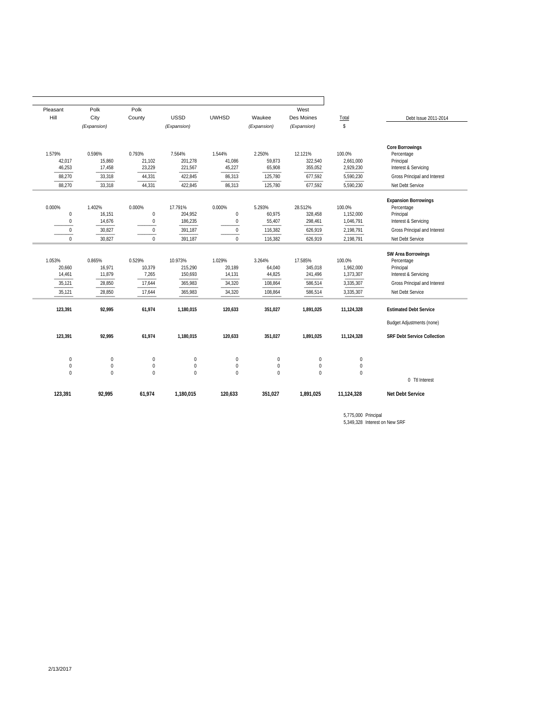|                                    |                  | West        |                  |                  |                  | Polk             | Polk        | Pleasant         |
|------------------------------------|------------------|-------------|------------------|------------------|------------------|------------------|-------------|------------------|
| Debt Issue 2011-2014               | Total            | Des Moines  | Waukee           | <b>UWHSD</b>     | <b>USSD</b>      | County           | City        | Hill             |
|                                    | \$               | (Expansion) | (Expansion)      |                  | (Expansion)      |                  | (Expansion) |                  |
| <b>Core Borrowings</b>             | 100.0%           | 12.121%     | 2.250%           | 1.544%           | 7.564%           | 0.793%           | 0.596%      | 1.579%           |
| Percentage<br>Principal            | 2,661,000        | 322,540     | 59,873           | 41,086           | 201,278          | 21,102           | 15,860      | 42,017           |
| Interest & Servicing               | 2,929,230        | 355,052     | 65,908           | 45,227           | 221,567          | 23,229           | 17,458      | 46,253           |
| Gross Principal and Interest       | 5,590,230        | 677,592     | 125,780          | 86,313           | 422,845          | 44,331           | 33,318      | 88,270           |
| Net Debt Service                   | 5,590,230        | 677,592     | 125,780          | 86,313           | 422,845          | 44,331           | 33,318      | 88,270           |
| <b>Expansion Borrowings</b>        |                  |             |                  |                  |                  |                  |             |                  |
| Percentage                         | 100.0%           | 28.512%     | 5.293%           | 0.000%           | 17.791%          | 0.000%           | 1.402%      | 0.000%           |
| Principal                          | 1,152,000        | 328,458     | 60,975           | $\boldsymbol{0}$ | 204,952          | $\pmb{0}$        | 16,151      | $\bf 0$          |
| Interest & Servicing               | 1,046,791        | 298,461     | 55,407           | $\pmb{0}$        | 186,235          | $\bf 0$          | 14,676      | $\mathbf 0$      |
| Gross Principal and Interest       | 2,198,791        | 626,919     | 116,382          | $\bf 0$          | 391,187          | $\mathbf 0$      | 30,827      | $\mathbf 0$      |
| Net Debt Service                   | 2,198,791        | 626,919     | 116,382          | $\mathbf 0$      | 391,187          | $\mathbf{0}$     | 30,827      | $\mathbf 0$      |
| SW Area Borrowings                 |                  |             |                  |                  |                  |                  |             |                  |
| Percentage                         | 100.0%           | 17.585%     | 3.264%           | 1.029%           | 10.973%          | 0.529%           | 0.865%      | 1.053%           |
| Principal                          | 1,962,000        | 345,018     | 64,040           | 20,189           | 215,290          | 10,379           | 16,971      | 20,660           |
| Interest & Servicing               | 1,373,307        | 241,496     | 44,825           | 14,131           | 150,693          | 7,265            | 11,879      | 14,461           |
| Gross Principal and Interest       | 3,335,307        | 586,514     | 108,864          | 34,320           | 365,983          | 17,644           | 28,850      | 35,121           |
| Net Debt Service                   | 3,335,307        | 586,514     | 108,864          | 34,320           | 365,983          | 17,644           | 28,850      | 35,121           |
| <b>Estimated Debt Service</b>      | 11,124,328       | 1,891,025   | 351,027          | 120,633          | 1,180,015        | 61,974           | 92,995      | 123,391          |
| <b>Budget Adjustments (none)</b>   |                  |             |                  |                  |                  |                  |             |                  |
| <b>SRF Debt Service Collection</b> | 11,124,328       | 1,891,025   | 351,027          | 120,633          | 1,180,015        | 61,974           | 92,995      | 123,391          |
|                                    | $\bf{0}$         | 0           | $\mathbf 0$      | $\mathbf 0$      | $\mathbf{0}$     | $\mathbf 0$      | $\mathbf 0$ | $\mathbf 0$      |
|                                    | $\boldsymbol{0}$ | 0           | $\boldsymbol{0}$ | $\boldsymbol{0}$ | $\boldsymbol{0}$ | $\boldsymbol{0}$ | $\mathbf 0$ | $\boldsymbol{0}$ |
| 0 Ttl Interest                     | $\mathbf 0$      | $\mathbf 0$ | $\theta$         | $\theta$         | $\Omega$         | $\overline{0}$   | $\Omega$    | $\mathbf{0}$     |
|                                    | 11,124,328       | 1,891,025   | 351.027          | 120,633          | 1,180,015        | 61,974           | 92,995      | 123,391          |

5,349,328 Interest on New SRF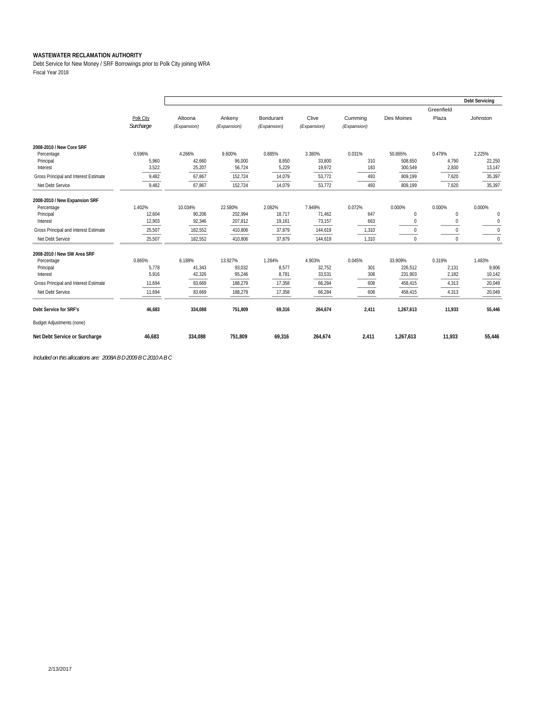Debt Service for New Money / SRF Borrowings prior to Polk City joining WRA Fiscal Year 2018

|                                       |           |             |             |             |             |             |              |                | <b>Debt Servicing</b> |
|---------------------------------------|-----------|-------------|-------------|-------------|-------------|-------------|--------------|----------------|-----------------------|
|                                       |           |             |             |             |             |             |              | Greenfield     |                       |
|                                       | Polk City | Altoona     | Ankeny      | Bondurant   | Clive       | Cumming     | Des Moines   | Plaza          | Johnston              |
|                                       | Surcharge | (Expansion) | (Expansion) | (Expansion) | (Expansion) | (Expansion) |              |                |                       |
| 2008-2010 / New Core SRF              |           |             |             |             |             |             |              |                |                       |
| Percentage                            | 0.596%    | 4.266%      | 9.600%      | 0.885%      | 3.380%      | 0.031%      | 50.865%      | 0.479%         | 2.225%                |
| Principal                             | 5,960     | 42,660      | 96,000      | 8,850       | 33,800      | 310         | 508,650      | 4,790          | 22,250                |
| Interest                              | 3,522     | 25,207      | 56,724      | 5,229       | 19,972      | 183         | 300,549      | 2,830          | 13,147                |
| Gross Principal and Interest Estimate | 9,482     | 67,867      | 152,724     | 14,079      | 53,772      | 493         | 809,199      | 7,620          | 35,397                |
| Net Debt Service                      | 9,482     | 67,867      | 152,724     | 14,079      | 53,772      | 493         | 809,199      | 7,620          | 35,397                |
| 2008-2010 / New Expansion SRF         |           |             |             |             |             |             |              |                |                       |
| Percentage                            | 1.402%    | 10.034%     | 22.580%     | 2.082%      | 7.949%      | 0.072%      | 0.000%       | 0.000%         | 0.000%                |
| Principal                             | 12,604    | 90,206      | 202,994     | 18,717      | 71,462      | 647         | $\mathbf{0}$ | $\mathbf{0}$   | $\mathbf 0$           |
| Interest                              | 12,903    | 92,346      | 207,812     | 19,161      | 73,157      | 663         | $\mathbf 0$  | $\bf{0}$       | $\mathbf 0$           |
| Gross Principal and Interest Estimate | 25,507    | 182,552     | 410,806     | 37,879      | 144,619     | 1,310       | $\Omega$     | $\bf{0}$       | 0                     |
| Net Debt Service                      | 25,507    | 182,552     | 410,806     | 37,879      | 144,619     | 1,310       | $\mathbf 0$  | $\mathbf{0}$   | $\mathbf{0}$          |
| 2008-2010 / New SW Area SRF           |           |             |             |             |             |             |              |                |                       |
| Percentage                            | 0.865%    | 6.189%      | 13.927%     | 1.284%      | 4.903%      | 0.045%      | 33.909%      | 0.319%         | 1.483%                |
| Principal                             | 5,778     | 41,343      | 93,032      | 8,577       | 32,752      | 301         | 226,512      | 2,131<br>2,182 | 9,906                 |
| Interest                              | 5,916     | 42,326      | 95,246      | 8,781       | 33,531      | 308         | 231,903      |                | 10,142                |
| Gross Principal and Interest Estimate | 11,694    | 83,669      | 188,279     | 17,358      | 66,284      | 608         | 458,415      | 4,313          | 20,049                |
| Net Debt Service                      | 11,694    | 83,669      | 188,279     | 17,358      | 66,284      | 608         | 458,415      | 4,313          | 20,049                |
| Debt Service for SRF's                | 46.683    | 334.088     | 751.809     | 69,316      | 264,674     | 2,411       | 1,267,613    | 11,933         | 55,446                |
| <b>Budget Adjustments (none)</b>      |           |             |             |             |             |             |              |                |                       |
| Net Debt Service or Surcharge         | 46,683    | 334,088     | 751,809     | 69,316      | 264,674     | 2,411       | 1,267,613    | 11,933         | 55,446                |

*Included on this allocations are: 2008A B D 2009 B C 2010 A B C*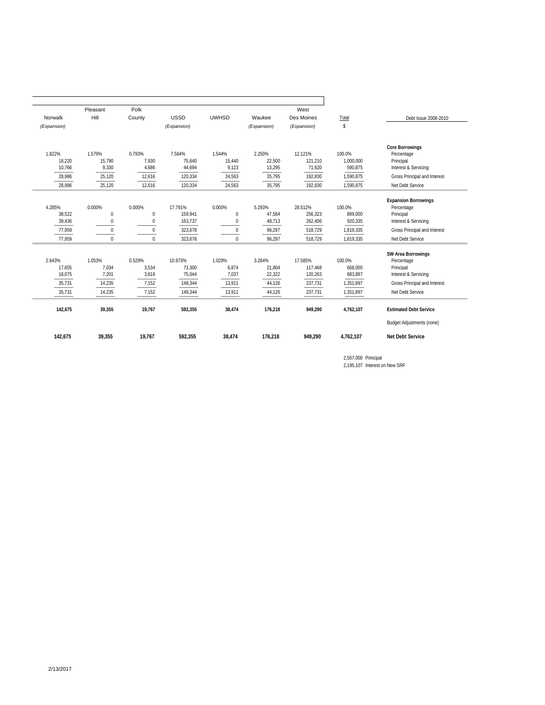|             | Pleasant    | Polk         |             |                  |             | West        |           |                                  |
|-------------|-------------|--------------|-------------|------------------|-------------|-------------|-----------|----------------------------------|
| Norwalk     | Hill        | County       | <b>USSD</b> | <b>UWHSD</b>     | Waukee      | Des Moines  | Total     | Debt Issue 2008-2010             |
| (Expansion) |             |              | (Expansion) |                  | (Expansion) | (Expansion) | \$        |                                  |
|             |             |              |             |                  |             |             |           | <b>Core Borrowings</b>           |
| 1.822%      | 1.579%      | 0.793%       | 7.564%      | 1.544%           | 2.250%      | 12.121%     | 100.0%    | Percentage                       |
| 18,220      | 15,790      | 7.930        | 75,640      | 15,440           | 22,500      | 121,210     | 1,000,000 | Principal                        |
| 10,766      | 9,330       | 4,686        | 44,694      | 9,123            | 13,295      | 71,620      | 590,875   | Interest & Servicing             |
| 28,986      | 25,120      | 12,616       | 120,334     | 24,563           | 35,795      | 192,830     | 1,590,875 | Gross Principal and Interest     |
| 28,986      | 25,120      | 12,616       | 120,334     | 24,563           | 35,795      | 192,830     | 1,590,875 | Net Debt Service                 |
|             |             |              |             |                  |             |             |           | <b>Expansion Borrowings</b>      |
| 4.285%      | 0.000%      | 0.000%       | 17.791%     | 0.000%           | 5.293%      | 28.512%     | 100.0%    | Percentage                       |
| 38,522      | $\pmb{0}$   | $\mathbf{0}$ | 159,941     | $\boldsymbol{0}$ | 47,584      | 256,323     | 899,000   | Principal                        |
| 39,436      | $\mathbf 0$ | 0            | 163,737     | $\mathbf 0$      | 48,713      | 262,406     | 920,335   | Interest & Servicing             |
| 77.959      | $\Omega$    | $\mathbf{0}$ | 323,678     | $\mathbf{0}$     | 96,297      | 518.729     | 1,819,335 | Gross Principal and Interest     |
| 77.959      | $\Omega$    | $\Omega$     | 323,678     | $\Omega$         | 96,297      | 518,729     | 1,819,335 | Net Debt Service                 |
|             |             |              |             |                  |             |             |           | SW Area Borrowings               |
| 2.643%      | 1.053%      | 0.529%       | 10.973%     | 1.029%           | 3.264%      | 17.585%     | 100.0%    | Percentage                       |
| 17,655      | 7,034       | 3,534        | 73,300      | 6,874            | 21,804      | 117,468     | 668,000   | Principal                        |
| 18,075      | 7,201       | 3,618        | 75,044      | 7,037            | 22,322      | 120,263     | 683,897   | Interest & Servicing             |
| 35,731      | 14,235      | 7,152        | 148,344     | 13,911           | 44,126      | 237,731     | 1,351,897 | Gross Principal and Interest     |
| 35,731      | 14,235      | 7,152        | 148,344     | 13,911           | 44,126      | 237,731     | 1,351,897 | Net Debt Service                 |
| 142,675     | 39,355      | 19,767       | 592,355     | 38,474           | 176,218     | 949,290     | 4,762,107 | <b>Estimated Debt Service</b>    |
|             |             |              |             |                  |             |             |           | <b>Budget Adjustments (none)</b> |
| 142,675     | 39,355      | 19,767       | 592,355     | 38,474           | 176,218     | 949,290     | 4,762,107 | <b>Net Debt Service</b>          |

2,567,000 Principal 2,195,107 Interest on New SRF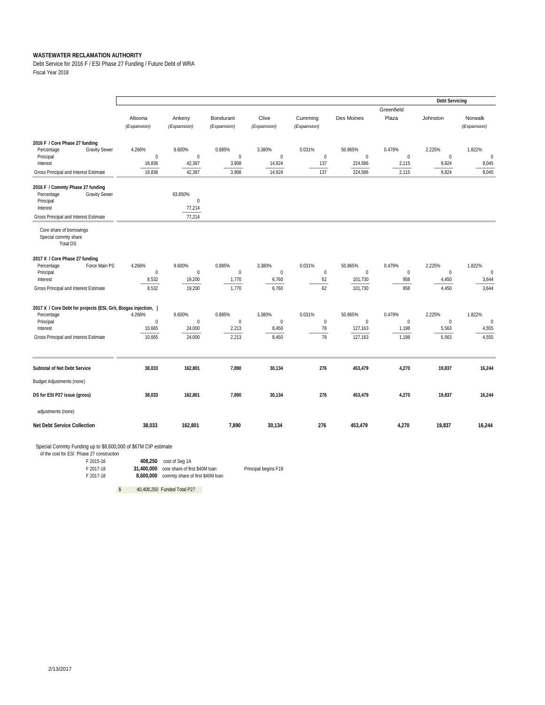Debt Service for 2016 F / ESI Phase 27 Funding / Future Debt of WRA Fiscal Year 2018

|                                                                                                                                          |                                          |                                             |                                          |                                         |                                        |                                               |                                          | <b>Debt Servicing</b>                 |                                      |
|------------------------------------------------------------------------------------------------------------------------------------------|------------------------------------------|---------------------------------------------|------------------------------------------|-----------------------------------------|----------------------------------------|-----------------------------------------------|------------------------------------------|---------------------------------------|--------------------------------------|
|                                                                                                                                          | Altoona<br>(Expansion)                   | Ankeny<br>(Expansion)                       | Bondurant<br>(Expansion)                 | Clive<br>(Expansion)                    | Cumming<br>(Expansion)                 | Des Moines                                    | Greenfield<br>Plaza                      | Johnston                              | Norwalk<br>(Expansion)               |
| 2016 F / Core Phase 27 funding<br><b>Gravity Sewer</b><br>Percentage<br>Principal<br>Interest                                            | 4.266%<br>$\mathbf 0$<br>18,836          | 9.600%<br>$\mathbf{0}$<br>42,387            | 0.885%<br>$\mathbf 0$<br>3,908           | 3.380%<br>$\mathbf 0$<br>14,924         | 0.031%<br>$\mathbf{0}$<br>137          | 50.865%<br>$\mathbf 0$<br>224,586             | 0.479%<br>$\mathbf 0$<br>2,115           | 2.225%<br>$\mathbf{0}$<br>9,824       | 1.822%<br>$\mathbf{0}$<br>8,045      |
| Gross Principal and Interest Estimate                                                                                                    | 18,836                                   | 42,387                                      | 3,908                                    | 14,924                                  | 137                                    | 224,586                                       | 2,115                                    | 9,824                                 | 8,045                                |
| 2016 F / Commty Phase 27 funding<br>Percentage<br><b>Gravity Sewer</b><br>Principal<br>Interest<br>Gross Principal and Interest Estimate |                                          | 63.850%<br>$\mathbf{0}$<br>77,214<br>77,214 |                                          |                                         |                                        |                                               |                                          |                                       |                                      |
| Core share of borrowings<br>Special commty share<br><b>Total DS</b>                                                                      |                                          |                                             |                                          |                                         |                                        |                                               |                                          |                                       |                                      |
| 2017 X / Core Phase 27 funding<br>Percentage<br>Force Main PS<br>Principal<br>Interest<br>Gross Principal and Interest Estimate          | 4.266%<br>$\mathbf{0}$<br>8,532<br>8,532 | 9.600%<br>$\mathbf{0}$<br>19,200<br>19,200  | 0.885%<br>$\mathbf{0}$<br>1,770<br>1,770 | 3.380%<br>$\mathbf 0$<br>6,760<br>6,760 | 0.031%<br>$\boldsymbol{0}$<br>62<br>62 | 50.865%<br>$\mathbf{0}$<br>101,730<br>101,730 | 0.479%<br>$\boldsymbol{0}$<br>958<br>958 | 2.225%<br>$\pmb{0}$<br>4,450<br>4,450 | 1.822%<br>$\bf{0}$<br>3,644<br>3,644 |
| 2017 X / Core Debt for projects (ESI, Grit, Biogas injection, )<br>Percentage<br>Principal<br>Interest                                   | 4.266%<br>$\pmb{0}$<br>10,665            | 9.600%<br>$\mathbf{0}$<br>24,000            | 0.885%<br>$\pmb{0}$<br>2,213             | 3.380%<br>$\boldsymbol{0}$<br>8,450     | 0.031%<br>$\pmb{0}$<br>78              | 50.865%<br>$\mathbf{0}$<br>127,163            | 0.479%<br>$\pmb{0}$<br>1,198             | 2.225%<br>$\boldsymbol{0}$<br>5,563   | 1.822%<br>$\bf{0}$<br>4,555          |
| Gross Principal and Interest Estimate                                                                                                    | 10,665                                   | 24,000                                      | 2,213                                    | 8,450                                   | 78                                     | 127,163                                       | 1,198                                    | 5,563                                 | 4,555                                |
| Subtotal of Net Debt Service<br><b>Budget Adjustments (none)</b><br>DS for ESI P27 issue (gross)<br>adjustments (none)                   | 38,033<br>38,033                         | 162,801<br>162,801                          | 7,890<br>7,890                           | 30,134<br>30,134                        | 276<br>276                             | 453,479<br>453,479                            | 4,270<br>4,270                           | 19,837<br>19,837                      | 16,244<br>16,244                     |
| <b>Net Debt Service Collection</b>                                                                                                       | 38,033                                   | 162,801                                     | 7,890                                    | 30,134                                  | 276                                    | 453,479                                       | 4,270                                    | 19,837                                | 16,244                               |

Special Commty Funding up to \$8,600,000 of \$67M CIP estimate

 of the cost for ESI Phase 27 construction F 2015-16 **408,250** cost of Seg 1A F 2017-18 **31,400,000** core share of first \$40M loan Principal begins F19

F 2017-18 **8,600,000** commty share of first \$40M loan

\$ 40,408,250 Funded Total P27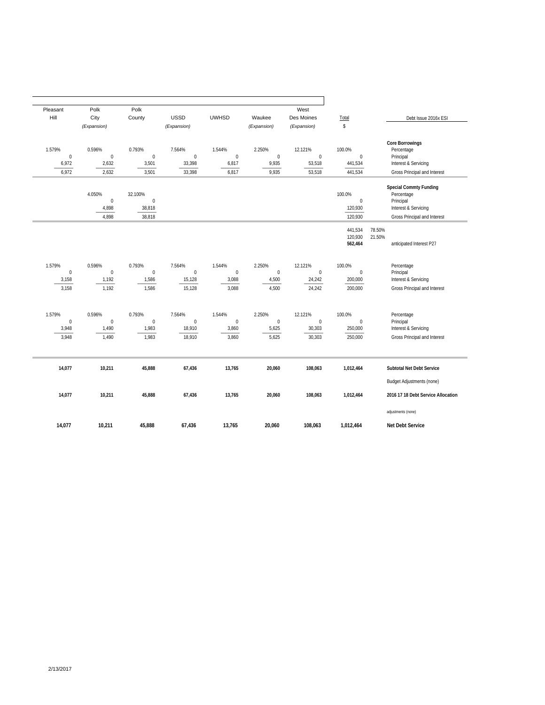| Pleasant         | Polk                           | Polk                                  |                    |                           |                  | West                |                                       |                                                                           |
|------------------|--------------------------------|---------------------------------------|--------------------|---------------------------|------------------|---------------------|---------------------------------------|---------------------------------------------------------------------------|
| Hill             | City                           | County                                | <b>USSD</b>        | <b>UWHSD</b>              | Waukee           | Des Moines          | Total                                 | Debt Issue 2016x ESI                                                      |
|                  | (Expansion)                    |                                       | (Expansion)        |                           | (Expansion)      | (Expansion)         | \$                                    |                                                                           |
| 1.579%           | 0.596%                         | 0.793%                                | 7.564%             | 1.544%                    | 2.250%           | 12.121%             | 100.0%                                | <b>Core Borrowings</b><br>Percentage                                      |
| $\mathbf 0$      | $\mathbf{0}$                   | $\mathbf{0}$                          | $\mathbf{0}$       | $\mathbf 0$               | $\pmb{0}$        | $\pmb{0}$           | $\mathbf{0}$                          | Principal                                                                 |
| 6,972            | 2,632                          | 3,501                                 | 33,398             | 6,817                     | 9,935            | 53,518              | 441,534                               | Interest & Servicing                                                      |
| 6,972            | 2,632                          | 3,501                                 | 33,398             | 6,817                     | 9,935            | 53,518              | 441,534                               | Gross Principal and Interest                                              |
|                  | 4.050%<br>$\mathbf 0$<br>4,898 | 32.100%<br>$\boldsymbol{0}$<br>38,818 |                    |                           |                  |                     | 100.0%<br>$\boldsymbol{0}$<br>120,930 | Special Commty Funding<br>Percentage<br>Principal<br>Interest & Servicing |
|                  | 4,898                          | 38,818                                |                    |                           |                  |                     | 120,930                               | Gross Principal and Interest                                              |
|                  |                                |                                       |                    |                           |                  |                     |                                       |                                                                           |
|                  |                                |                                       |                    |                           |                  |                     | 441,534<br>120,930<br>562,464         | 78.50%<br>21.50%<br>anticipated Interest P27                              |
|                  |                                |                                       |                    |                           |                  |                     |                                       |                                                                           |
| 1.579%           | 0.596%                         | 0.793%                                | 7.564%             | 1.544%                    | 2.250%           | 12.121%             | 100.0%                                | Percentage                                                                |
| 0<br>3,158       | $\mathbf 0$<br>1,192           | $\bf 0$<br>1,586                      | $\bf{0}$<br>15,128 | $\boldsymbol{0}$<br>3,088 | $\bf 0$<br>4,500 | $\pmb{0}$<br>24,242 | $\boldsymbol{0}$<br>200,000           | Principal<br>Interest & Servicing                                         |
| 3,158            | 1,192                          | 1,586                                 | 15,128             | 3,088                     | 4,500            | 24,242              | 200,000                               | Gross Principal and Interest                                              |
|                  |                                |                                       |                    |                           |                  |                     |                                       |                                                                           |
| 1.579%           | 0.596%                         | 0.793%                                | 7.564%             | 1.544%                    | 2.250%           | 12.121%             | 100.0%                                | Percentage                                                                |
| $\boldsymbol{0}$ | $\mathbf 0$                    | $\bf 0$                               | $\bf{0}$           | $\boldsymbol{0}$          | $\bf 0$          | $\pmb{0}$           | $\boldsymbol{0}$                      | Principal                                                                 |
| 3,948            | 1,490                          | 1,983                                 | 18,910             | 3,860                     | 5,625            | 30,303              | 250,000                               | Interest & Servicing                                                      |
| 3,948            | 1,490                          | 1,983                                 | 18,910             | 3,860                     | 5,625            | 30,303              | 250,000                               | Gross Principal and Interest                                              |
| 14,077           | 10,211                         | 45,888                                | 67,436             | 13,765                    | 20,060           | 108,063             | 1,012,464                             | Subtotal Net Debt Service                                                 |
|                  |                                |                                       |                    |                           |                  |                     |                                       | <b>Budget Adjustments (none)</b>                                          |
| 14,077           | 10,211                         | 45,888                                | 67,436             | 13,765                    | 20,060           | 108,063             | 1,012,464                             | 2016 17 18 Debt Service Allocation                                        |
|                  |                                |                                       |                    |                           |                  |                     |                                       | adjustments (none)                                                        |
| 14.077           | 10.211                         | 45.888                                | 67.436             | 13.765                    | 20.060           | 108.063             | 1.012.464                             | Net Debt Service                                                          |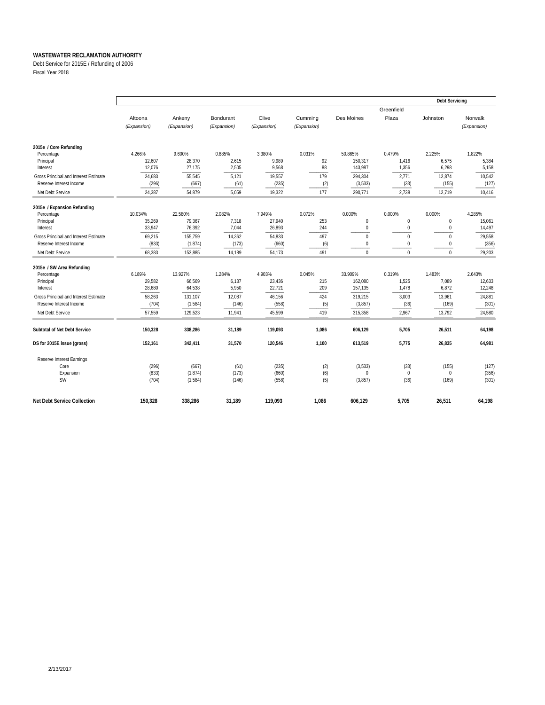Debt Service for 2015E / Refunding of 2006

Fiscal Year 2018

|                                                                                                        |                                      |                                      |                                   |                                    |                           |                                          |                                          | <b>Debt Servicing</b>                  |                                    |
|--------------------------------------------------------------------------------------------------------|--------------------------------------|--------------------------------------|-----------------------------------|------------------------------------|---------------------------|------------------------------------------|------------------------------------------|----------------------------------------|------------------------------------|
|                                                                                                        | Altoona<br>(Expansion)               | Ankeny<br>(Expansion)                | Bondurant<br>(Expansion)          | Clive<br>(Expansion)               | Cumming<br>(Expansion)    | Des Moines                               | Greenfield<br>Plaza                      | Johnston                               | Norwalk<br>(Expansion)             |
| 2015e / Core Refunding<br>Percentage<br>Principal<br>Interest<br>Gross Principal and Interest Estimate | 4.266%<br>12,607<br>12,076<br>24,683 | 9.600%<br>28,370<br>27,175<br>55,545 | 0.885%<br>2,615<br>2,505<br>5,121 | 3.380%<br>9,989<br>9,568<br>19,557 | 0.031%<br>92<br>88<br>179 | 50.865%<br>150,317<br>143,987<br>294,304 | 0.479%<br>1,416<br>1,356<br>2,771        | 2.225%<br>6,575<br>6,298<br>12,874     | 1.822%<br>5,384<br>5,158<br>10,542 |
| Reserve Interest Income<br>Net Debt Service                                                            | (296)<br>24,387                      | (667)<br>54,879                      | (61)<br>5,059                     | (235)<br>19,322                    | (2)<br>177                | (3,533)<br>290,771                       | (33)<br>2,738                            | (155)<br>12,719                        | (127)<br>10,416                    |
| 2015e / Expansion Refunding<br>Percentage<br>Principal<br>Interest                                     | 10.034%<br>35,269<br>33,947          | 22.580%<br>79,367<br>76,392          | 2.082%<br>7,318<br>7,044          | 7.949%<br>27,940<br>26,893         | 0.072%<br>253<br>244      | 0.000%<br>0<br>0                         | 0.000%<br>$\mathbf 0$<br>$\mathbf 0$     | 0.000%<br>$\mathbf{0}$<br>$\mathbf{0}$ | 4.285%<br>15,061<br>14,497         |
| Gross Principal and Interest Estimate<br>Reserve Interest Income<br>Net Debt Service                   | 69,215<br>(833)<br>68,383            | 155,759<br>(1, 874)<br>153,885       | 14,362<br>(173)<br>14,189         | 54,833<br>(660)<br>54,173          | 497<br>(6)<br>491         | 0<br>0<br>$\Omega$                       | $\mathbf{0}$<br>$\mathbf{0}$<br>$\Omega$ | $\Omega$<br>$\mathbf{0}$<br>$\Omega$   | 29,558<br>(356)<br>29,203          |
| 2015e / SW Area Refunding<br>Percentage<br>Principal<br>Interest                                       | 6.189%<br>29,582<br>28,680           | 13.927%<br>66,569<br>64,538          | 1.284%<br>6,137<br>5,950          | 4.903%<br>23,436<br>22,721         | 0.045%<br>215<br>209      | 33.909%<br>162,080<br>157,135            | 0.319%<br>1,525<br>1,478                 | 1.483%<br>7,089<br>6,872               | 2.643%<br>12,633<br>12,248         |
| Gross Principal and Interest Estimate<br>Reserve Interest Income<br>Net Debt Service                   | 58,263<br>(704)<br>57,559            | 131,107<br>(1,584)<br>129,523        | 12,087<br>(146)<br>11,941         | 46,156<br>(558)<br>45,599          | 424<br>(5)<br>419         | 319,215<br>(3,857)<br>315,358            | 3,003<br>(36)<br>2,967                   | 13,961<br>(169)<br>13,792              | 24,881<br>(301)<br>24,580          |
| Subtotal of Net Debt Service                                                                           | 150,328                              | 338,286                              | 31,189                            | 119,093                            | 1,086                     | 606,129                                  | 5,705                                    | 26,511                                 | 64,198                             |
| DS for 2015E issue (gross)                                                                             | 152,161                              | 342,411                              | 31,570                            | 120,546                            | 1,100                     | 613,519                                  | 5,775                                    | 26,835                                 | 64,981                             |
| Reserve Interest Earnings<br>Core<br>Expansion<br><b>SW</b>                                            | (296)<br>(833)<br>(704)              | (667)<br>(1,874)<br>(1,584)          | (61)<br>(173)<br>(146)            | (235)<br>(660)<br>(558)            | (2)<br>(6)<br>(5)         | (3,533)<br>0<br>(3,857)                  | (33)<br>$\mathbf{0}$<br>(36)             | (155)<br>$\mathbf{0}$<br>(169)         | (127)<br>(356)<br>(301)            |
| <b>Net Debt Service Collection</b>                                                                     | 150,328                              | 338,286                              | 31,189                            | 119,093                            | 1,086                     | 606,129                                  | 5,705                                    | 26,511                                 | 64,198                             |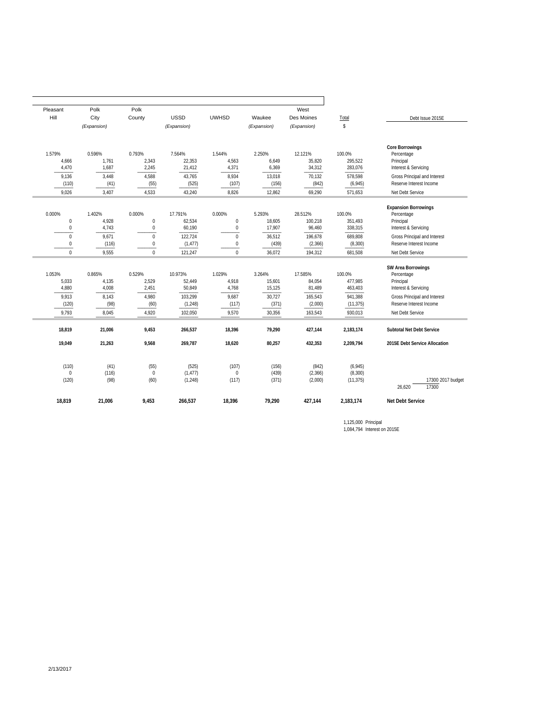| Pleasant                                  | Polk                     | Polk                             |                                |                                                |                            | West                          |                                  |                                                                                |
|-------------------------------------------|--------------------------|----------------------------------|--------------------------------|------------------------------------------------|----------------------------|-------------------------------|----------------------------------|--------------------------------------------------------------------------------|
| Hill                                      | City                     | County                           | <b>USSD</b>                    | <b>UWHSD</b>                                   | Waukee                     | Des Moines                    | Total                            | Debt Issue 2015E                                                               |
|                                           | (Expansion)              |                                  | (Expansion)                    |                                                | (Expansion)                | (Expansion)                   | $\mathbb{S}$                     |                                                                                |
| 1.579%<br>4,666<br>4,470                  | 0.596%<br>1,761<br>1,687 | 0.793%<br>2,343<br>2,245         | 7.564%<br>22,353<br>21,412     | 1.544%<br>4,563<br>4,371                       | 2.250%<br>6,649<br>6,369   | 12.121%<br>35,820<br>34,312   | 100.0%<br>295,522<br>283,076     | <b>Core Borrowings</b><br>Percentage<br>Principal<br>Interest & Servicing      |
| 9,136<br>(110)                            | 3,448<br>(41)            | 4,588<br>(55)                    | 43,765<br>(525)                | 8,934<br>(107)                                 | 13,018<br>(156)            | 70,132<br>(842)               | 578,598<br>(6,945)               | Gross Principal and Interest<br>Reserve Interest Income                        |
| 9.026                                     | 3.407                    | 4.533                            | 43,240                         | 8.826                                          | 12,862                     | 69.290                        | 571,653                          | Net Debt Service                                                               |
| 0.000%<br>$\mathbf 0$<br>$\boldsymbol{0}$ | 1.402%<br>4,928<br>4,743 | 0.000%<br>$\pmb{0}$<br>$\pmb{0}$ | 17.791%<br>62,534<br>60,190    | 0.000%<br>$\boldsymbol{0}$<br>$\boldsymbol{0}$ | 5.293%<br>18,605<br>17,907 | 28.512%<br>100.218<br>96,460  | 100.0%<br>351,493<br>338,315     | <b>Expansion Borrowings</b><br>Percentage<br>Principal<br>Interest & Servicing |
| $\Omega$<br>0                             | 9,671<br>(116)           | $\mathbf{0}$<br>$\mathbf{0}$     | 122,724<br>(1, 477)            | $\Omega$<br>$\mathbf{0}$                       | 36,512<br>(439)            | 196,678<br>(2, 366)           | 689,808<br>(8, 300)              | Gross Principal and Interest<br>Reserve Interest Income                        |
| $\mathbf{0}$                              | 9.555                    | $\Omega$                         | 121,247                        | $\Omega$                                       | 36,072                     | 194,312                       | 681,508                          | Net Debt Service                                                               |
| 1.053%<br>5,033<br>4,880                  | 0.865%<br>4,135<br>4,008 | 0.529%<br>2,529<br>2,451         | 10.973%<br>52,449<br>50,849    | 1.029%<br>4,918<br>4,768                       | 3.264%<br>15,601<br>15,125 | 17.585%<br>84,054<br>81,489   | 100.0%<br>477,985<br>463,403     | SW Area Borrowings<br>Percentage<br>Principal<br>Interest & Servicing          |
| 9.913<br>(120)<br>9.793                   | 8,143<br>(98)<br>8,045   | 4,980<br>(60)<br>4,920           | 103,299<br>(1, 248)<br>102,050 | 9.687<br>(117)<br>9,570                        | 30,727<br>(371)<br>30,356  | 165,543<br>(2,000)<br>163,543 | 941,388<br>(11, 375)<br>930,013  | Gross Principal and Interest<br>Reserve Interest Income<br>Net Debt Service    |
| 18.819                                    | 21,006                   | 9.453                            | 266.537                        | 18,396                                         | 79,290                     | 427.144                       | 2,183,174                        | <b>Subtotal Net Debt Service</b>                                               |
| 19,049                                    | 21,263                   | 9,568                            | 269,787                        | 18,620                                         | 80,257                     | 432,353                       | 2,209,794                        | 2015E Debt Service Allocation                                                  |
| (110)<br>$\mathbf{0}$<br>(120)            | (41)<br>(116)<br>(98)    | (55)<br>$\mathbf{0}$<br>(60)     | (525)<br>(1, 477)<br>(1, 248)  | (107)<br>$\mathbf 0$<br>(117)                  | (156)<br>(439)<br>(371)    | (842)<br>(2, 366)<br>(2,000)  | (6,945)<br>(8, 300)<br>(11, 375) | 17300 2017 budget<br>17300<br>26,620                                           |
| 18.819                                    | 21,006                   | 9,453                            | 266,537                        | 18,396                                         | 79,290                     | 427,144                       | 2,183,174                        | <b>Net Debt Service</b>                                                        |
|                                           |                          |                                  |                                |                                                |                            |                               |                                  |                                                                                |

1,125,000 Principal 1,084,794 Interest on 2015E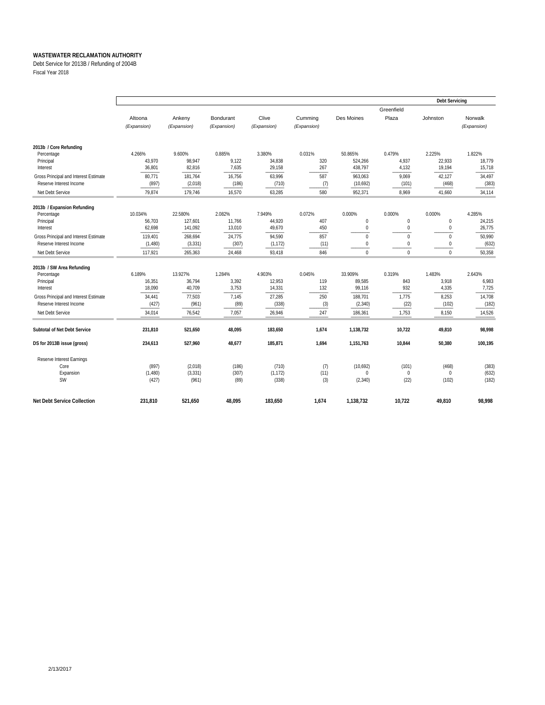Debt Service for 2013B / Refunding of 2004B

Fiscal Year 2018

|                                       |             |             |             |             |             |             |              | <b>Debt Servicing</b> |             |  |
|---------------------------------------|-------------|-------------|-------------|-------------|-------------|-------------|--------------|-----------------------|-------------|--|
|                                       |             |             |             |             |             |             | Greenfield   |                       |             |  |
|                                       | Altoona     | Ankeny      | Bondurant   | Clive       | Cumming     | Des Moines  | Plaza        | Johnston              | Norwalk     |  |
|                                       | (Expansion) | (Expansion) | (Expansion) | (Expansion) | (Expansion) |             |              |                       | (Expansion) |  |
| 2013b / Core Refunding                |             |             |             |             |             |             |              |                       |             |  |
| Percentage                            | 4.266%      | 9.600%      | 0.885%      | 3.380%      | 0.031%      | 50.865%     | 0.479%       | 2.225%                | 1.822%      |  |
| Principal                             | 43.970      | 98.947      | 9.122       | 34,838      | 320         | 524.266     | 4,937        | 22.933                | 18.779      |  |
| Interest                              | 36,801      | 82,816      | 7,635       | 29,158      | 267         | 438,797     | 4,132        | 19,194                | 15,718      |  |
| Gross Principal and Interest Estimate | 80,771      | 181,764     | 16,756      | 63,996      | 587         | 963,063     | 9.069        | 42,127                | 34,497      |  |
| Reserve Interest Income               | (897)       | (2,018)     | (186)       | (710)       | (7)         | (10,692)    | (101)        | (468)                 | (383)       |  |
| Net Debt Service                      | 79,874      | 179.746     | 16,570      | 63,285      | 580         | 952.371     | 8.969        | 41,660                | 34,114      |  |
| 2013b / Expansion Refunding           |             |             |             |             |             |             |              |                       |             |  |
| Percentage                            | 10.034%     | 22.580%     | 2.082%      | 7.949%      | 0.072%      | 0.000%      | 0.000%       | 0.000%                | 4.285%      |  |
| Principal                             | 56.703      | 127.601     | 11.766      | 44,920      | 407         | $\mathbf 0$ | $\mathbf{0}$ | $\mathbf{0}$          | 24.215      |  |
| Interest                              | 62,698      | 141,092     | 13.010      | 49,670      | 450         | $\mathbf 0$ | $\mathbf{0}$ | $\mathbf{0}$          | 26,775      |  |
| Gross Principal and Interest Estimate | 119,401     | 268.694     | 24.775      | 94,590      | 857         | $\mathbf 0$ | $\mathbf 0$  | $\mathbf{0}$          | 50,990      |  |
| Reserve Interest Income               | (1,480)     | (3, 331)    | (307)       | (1, 172)    | (11)        | 0           | $\mathbf{0}$ | $\mathbf{0}$          | (632)       |  |
| Net Debt Service                      | 117,921     | 265,363     | 24,468      | 93,418      | 846         | $\mathbf 0$ | $\mathbf{0}$ | $\mathbf 0$           | 50,358      |  |
| 2013b / SW Area Refunding             |             |             |             |             |             |             |              |                       |             |  |
| Percentage                            | 6.189%      | 13.927%     | 1.284%      | 4.903%      | 0.045%      | 33.909%     | 0.319%       | 1.483%                | 2.643%      |  |
| Principal                             | 16,351      | 36,794      | 3,392       | 12,953      | 119         | 89,585      | 843<br>932   | 3,918                 | 6,983       |  |
| Interest                              | 18,090      | 40,709      | 3,753       | 14,331      | 132         | 99,116      |              | 4,335                 | 7,725       |  |
| Gross Principal and Interest Estimate | 34,441      | 77,503      | 7.145       | 27,285      | 250         | 188,701     | 1,775        | 8,253                 | 14,708      |  |
| Reserve Interest Income               | (427)       | (961)       | (89)        | (338)       | (3)         | (2, 340)    | (22)         | (102)                 | (182)       |  |
| Net Debt Service                      | 34,014      | 76,542      | 7,057       | 26,946      | 247         | 186,361     | 1,753        | 8,150                 | 14,526      |  |
| Subtotal of Net Debt Service          | 231,810     | 521,650     | 48,095      | 183,650     | 1,674       | 1,138,732   | 10,722       | 49,810                | 98,998      |  |
| DS for 2013B issue (gross)            | 234,613     | 527,960     | 48,677      | 185,871     | 1,694       | 1,151,763   | 10,844       | 50,380                | 100,195     |  |
| Reserve Interest Earnings             |             |             |             |             |             |             |              |                       |             |  |
| Core                                  | (897)       | (2,018)     | (186)       | (710)       | (7)         | (10,692)    | (101)        | (468)                 | (383)       |  |
| Expansion                             | (1,480)     | (3, 331)    | (307)       | (1, 172)    | (11)        | $\Omega$    | $\mathbf{0}$ | $\mathbf{0}$          | (632)       |  |
| <b>SW</b>                             | (427)       | (961)       | (89)        | (338)       | (3)         | (2,340)     | (22)         | (102)                 | (182)       |  |
| <b>Net Debt Service Collection</b>    | 231.810     | 521,650     | 48.095      | 183.650     | 1.674       | 1.138.732   | 10.722       | 49.810                | 98,998      |  |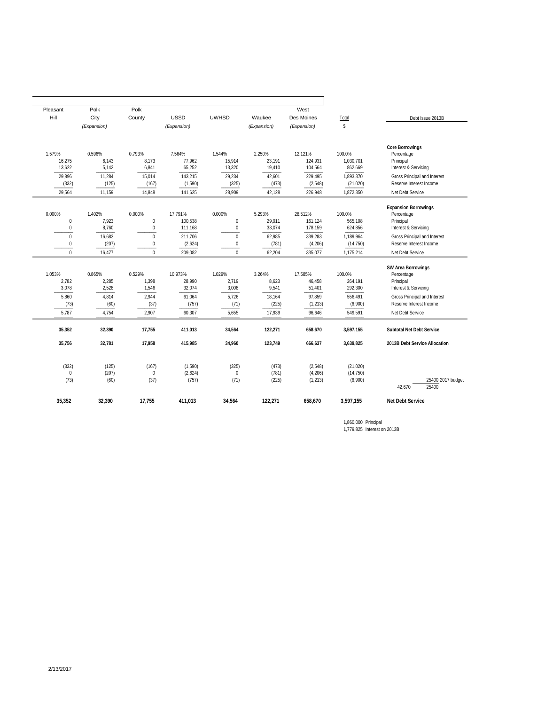|                                                                                         |                                     | West                           |                            |                                |                               | Polk                                    | Polk                      | Pleasant                         |
|-----------------------------------------------------------------------------------------|-------------------------------------|--------------------------------|----------------------------|--------------------------------|-------------------------------|-----------------------------------------|---------------------------|----------------------------------|
| Debt Issue 2013B                                                                        | Total                               | Des Moines                     | Waukee                     | <b>UWHSD</b>                   | <b>USSD</b>                   | County                                  | City                      | Hill                             |
|                                                                                         | $\mathbf{\hat{S}}$                  | (Expansion)                    | (Expansion)                |                                | (Expansion)                   |                                         | (Expansion)               |                                  |
| <b>Core Borrowings</b><br>Percentage<br>Principal<br>Interest & Servicing               | 100.0%<br>1,030,701<br>862,669      | 12.121%<br>124,931<br>104,564  | 2.250%<br>23,191<br>19,410 | 1.544%<br>15,914<br>13,320     | 7.564%<br>77,962<br>65,252    | 0.793%<br>8,173<br>6,841                | 0.596%<br>6,143<br>5,142  | 1.579%<br>16,275<br>13,622       |
| Gross Principal and Interest<br>Reserve Interest Income                                 | 1,893,370<br>(21, 020)              | 229,495<br>(2, 548)            | 42,601<br>(473)            | 29,234<br>(325)                | 143,215<br>(1,590)            | 15,014<br>(167)                         | 11,284<br>(125)           | 29,896<br>(332)                  |
| Net Debt Service                                                                        | 1,872,350                           | 226,948                        | 42,128                     | 28,909                         | 141,625                       | 14,848                                  | 11,159                    | 29,564                           |
| <b>Expansion Borrowings</b><br>Percentage<br>Principal<br>Interest & Servicing          | 100.0%<br>565,108<br>624,856        | 28.512%<br>161,124<br>178,159  | 5.293%<br>29,911<br>33,074 | 0.000%<br>$\pmb{0}$<br>$\bf 0$ | 17.791%<br>100,538<br>111,168 | 0.000%<br>$\pmb{0}$<br>$\boldsymbol{0}$ | 1.402%<br>7,923<br>8,760  | 0.000%<br>$\pmb{0}$<br>$\pmb{0}$ |
| Gross Principal and Interest<br>Reserve Interest Income<br>Net Debt Service             | 1,189,964<br>(14, 750)<br>1,175,214 | 339,283<br>(4,206)<br>335,077  | 62,985<br>(781)<br>62,204  | $\Omega$<br>0<br>$\Omega$      | 211,706<br>(2,624)<br>209,082 | $\mathbf{0}$<br>$\bf{0}$<br>$\Omega$    | 16,683<br>(207)<br>16,477 | $\Omega$<br>0<br>$\Omega$        |
| <b>SW Area Borrowings</b><br>Percentage<br>Principal<br><b>Interest &amp; Servicing</b> | 100.0%<br>264.191<br>292,300        | 17.585%<br>46,458<br>51,401    | 3.264%<br>8,623<br>9,541   | 1.029%<br>2,719<br>3,008       | 10.973%<br>28,990<br>32,074   | 0.529%<br>1,398<br>1,546                | 0.865%<br>2,285<br>2,528  | 1.053%<br>2,782<br>3,078         |
| Gross Principal and Interest<br>Reserve Interest Income<br>Net Debt Service             | 556,491<br>(6,900)<br>549,591       | 97,859<br>(1, 213)<br>96,646   | 18,164<br>(225)<br>17,939  | 5,726<br>(71)<br>5,655         | 61,064<br>(757)<br>60,307     | 2,944<br>(37)<br>2,907                  | 4,814<br>(60)<br>4,754    | 5,860<br>(73)<br>5,787           |
| Subtotal Net Debt Service                                                               | 3,597,155                           | 658,670                        | 122,271                    | 34,564                         | 411,013                       | 17,755                                  | 32,390                    | 35,352                           |
| 2013B Debt Service Allocation                                                           | 3,639,825                           | 666,637                        | 123,749                    | 34,960                         | 415,985                       | 17,958                                  | 32,781                    | 35,756                           |
| 25400 2017 budget<br>42,670<br>25400                                                    | (21, 020)<br>(14, 750)<br>(6,900)   | (2,548)<br>(4,206)<br>(1, 213) | (473)<br>(781)<br>(225)    | (325)<br>$\mathbf{0}$<br>(71)  | (1,590)<br>(2,624)<br>(757)   | (167)<br>$\mathbf{0}$<br>(37)           | (125)<br>(207)<br>(60)    | (332)<br>$\mathbf 0$<br>(73)     |
| <b>Net Debt Service</b>                                                                 | 3,597,155                           | 658.670                        | 122,271                    | 34,564                         | 411,013                       | 17.755                                  | 32,390                    | 35,352                           |

1,860,000 Principal 1,779,825 Interest on 2013B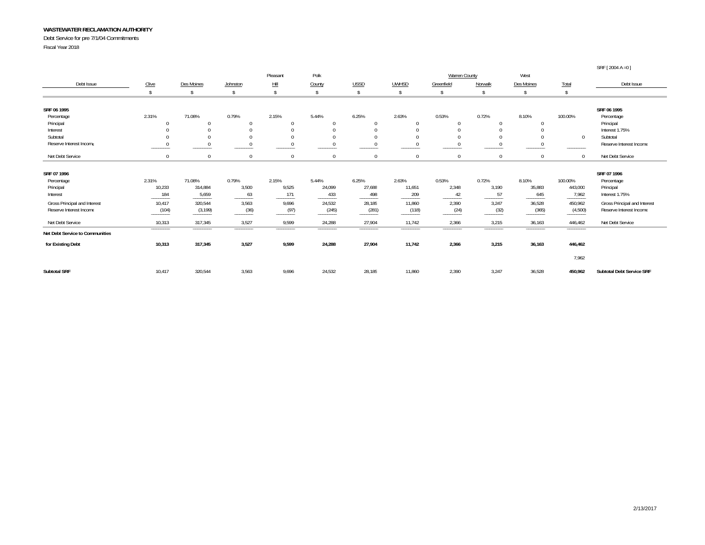Debt Service for pre 7/1/04 Commitments

Fiscal Year 2018

|                                 |           |            |              |              |              |             |              |                      |              |                |              | SRF [2004 A = 0]             |
|---------------------------------|-----------|------------|--------------|--------------|--------------|-------------|--------------|----------------------|--------------|----------------|--------------|------------------------------|
|                                 |           |            |              | Pleasant     | Polk         |             |              | <b>Warren County</b> |              | West           |              |                              |
| Debt Issue                      | Clive     | Des Moines | Johnston     | Hill         | County       | <b>USSD</b> | <b>UWHSD</b> | Greenfield           | Norwalk      | Des Moines     | <b>Total</b> | Debt Issue                   |
|                                 |           |            |              |              | Ŝ.           | \$          | -\$          | <sup>\$</sup>        | Ŝ            | Ŝ              | -\$          |                              |
| SRF 06 1995                     |           |            |              |              |              |             |              |                      |              |                |              | SRF 06 1995                  |
| Percentage                      | 2.31%     | 71.08%     | 0.79%        | 2.15%        | 5.44%        | 6.25%       | 2.63%        | 0.53%                | 0.72%        | 8.10%          | 100.00%      | Percentage                   |
| Principal                       |           | $\Omega$   | $\Omega$     | $\Omega$     | $\Omega$     |             | $\Omega$     | $\Omega$             | $\Omega$     | $\overline{0}$ |              | Principal                    |
| Interest                        |           | $\Omega$   | $\Omega$     | $\theta$     | $\Omega$     |             | $\Omega$     | $\Omega$             | $\Omega$     | $\theta$       |              | Interest 1.75%               |
| Subtotal                        |           | $\Omega$   | $\Omega$     | $\theta$     |              |             | $\Omega$     | $\Omega$             | $\Omega$     | $\Omega$       | $\Omega$     | Subtotal                     |
| Reserve Interest Income         |           |            | $\mathbf 0$  | $\mathbf{0}$ |              |             | $^{\circ}$   | $\mathbf{0}$         | $^{\circ}$   | $\mathbf 0$    |              | Reserve Interest Income      |
| Net Debt Service                |           | $\Omega$   | $\mathbf{0}$ | $\Omega$     | $\mathbf{0}$ | $\Omega$    | $\Omega$     | $\mathbf{0}$         | $\mathbf{0}$ | $\overline{0}$ | $\Omega$     | Net Debt Service             |
| SRF 07 1996                     |           |            |              |              |              |             |              |                      |              |                |              | SRF 07 1996                  |
| Percentage                      | 2.31%     | 71.08%     | 0.79%        | 2.15%        | 5.44%        | 6.25%       | 2.63%        | 0.53%                | 0.72%        | 8.10%          | 100.00%      | Percentage                   |
| Principal                       | 10,233    | 314,884    | 3,500        | 9,525        | 24,099       | 27,688      | 11,651       | 2,348                | 3,190        | 35,883         | 443,000      | Principal                    |
| Interest                        | 184       | 5,659      | 63           | 171          | 433          | 498         | 209          | 42                   | 57           | 645            | 7,962        | Interest 1.75%               |
| Gross Principal and Interest    | 10,417    | 320,544    | 3,563        | 9,696        | 24,532       | 28,185      | 11,860       | 2,390                | 3,247        | 36,528         | 450,962      | Gross Principal and Interest |
| Reserve Interest Income         | (104)     | (3, 199)   | (36)         | (97)         | (245)        | (281)       | (118)        | (24)                 | (32)         | (365)          | (4,500)      | Reserve Interest Income      |
| Net Debt Service                | 10,313    | 317,345    | 3,527        | 9,599        | 24,288       | 27,904      | 11,742       | 2,366                | 3,215        | 36,163         | 446,462      | Net Debt Service             |
| Net Debt Service to Communities | --------- |            |              |              |              |             |              |                      |              |                | ----------   |                              |
| for Existing Debt               | 10,313    | 317,345    | 3,527        | 9,599        | 24,288       | 27,904      | 11,742       | 2,366                | 3,215        | 36,163         | 446,462      |                              |
|                                 |           |            |              |              |              |             |              |                      |              |                | 7,962        |                              |
| <b>Subtotal SRF</b>             | 10.417    | 320,544    | 3,563        | 9,696        | 24,532       | 28,185      | 11,860       | 2,390                | 3,247        | 36,528         | 450,962      | Subtotal Debt Service SRF    |